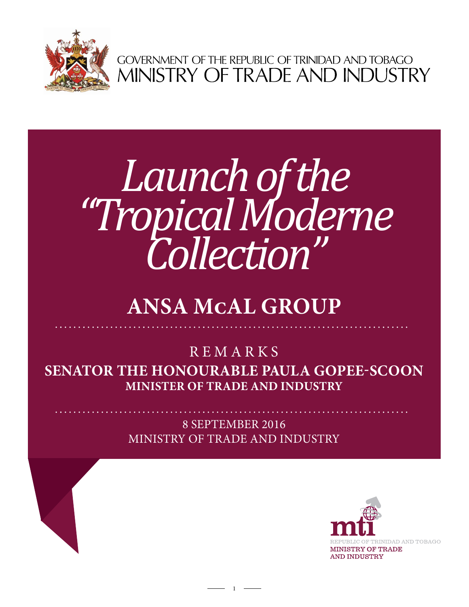

GOVERNMENT OF THE REPUBLIC OF TRINIDAD AND TOBAGO<br>MINISTRY OF TRADE AND INDUSTRY

## *Launch of the "Tropical Moderne Collection"*

## **Ansa mcal group**

## **Senator the Honourable Paula Gopee-Scoon Minister of Trade and Industry REMARKS**

8 september 2016 Ministry of Trade and Industry

1

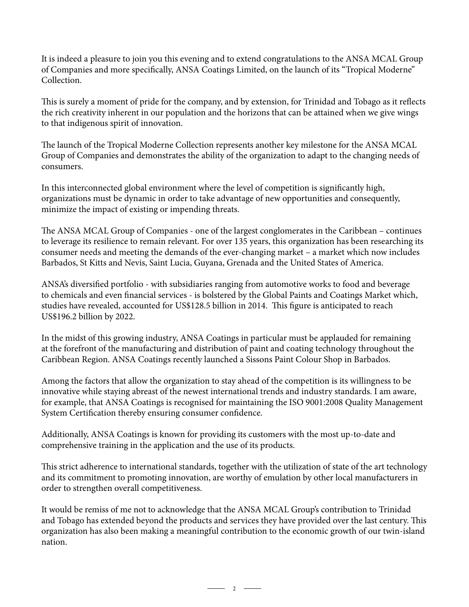It is indeed a pleasure to join you this evening and to extend congratulations to the ANSA MCAL Group of Companies and more specifically, ANSA Coatings Limited, on the launch of its "Tropical Moderne" Collection.

This is surely a moment of pride for the company, and by extension, for Trinidad and Tobago as it reflects the rich creativity inherent in our population and the horizons that can be attained when we give wings to that indigenous spirit of innovation.

The launch of the Tropical Moderne Collection represents another key milestone for the ANSA MCAL Group of Companies and demonstrates the ability of the organization to adapt to the changing needs of consumers.

In this interconnected global environment where the level of competition is significantly high, organizations must be dynamic in order to take advantage of new opportunities and consequently, minimize the impact of existing or impending threats.

The ANSA MCAL Group of Companies - one of the largest conglomerates in the Caribbean – continues to leverage its resilience to remain relevant. For over 135 years, this organization has been researching its consumer needs and meeting the demands of the ever-changing market – a market which now includes Barbados, St Kitts and Nevis, Saint Lucia, Guyana, Grenada and the United States of America.

ANSA's diversified portfolio - with subsidiaries ranging from automotive works to food and beverage to chemicals and even financial services - is bolstered by the Global Paints and Coatings Market which, studies have revealed, accounted for US\$128.5 billion in 2014. This figure is anticipated to reach US\$196.2 billion by 2022.

In the midst of this growing industry, ANSA Coatings in particular must be applauded for remaining at the forefront of the manufacturing and distribution of paint and coating technology throughout the Caribbean Region. ANSA Coatings recently launched a Sissons Paint Colour Shop in Barbados.

Among the factors that allow the organization to stay ahead of the competition is its willingness to be innovative while staying abreast of the newest international trends and industry standards. I am aware, for example, that ANSA Coatings is recognised for maintaining the ISO 9001:2008 Quality Management System Certification thereby ensuring consumer confidence.

Additionally, ANSA Coatings is known for providing its customers with the most up-to-date and comprehensive training in the application and the use of its products.

This strict adherence to international standards, together with the utilization of state of the art technology and its commitment to promoting innovation, are worthy of emulation by other local manufacturers in order to strengthen overall competitiveness.

It would be remiss of me not to acknowledge that the ANSA MCAL Group's contribution to Trinidad and Tobago has extended beyond the products and services they have provided over the last century. This organization has also been making a meaningful contribution to the economic growth of our twin-island nation.